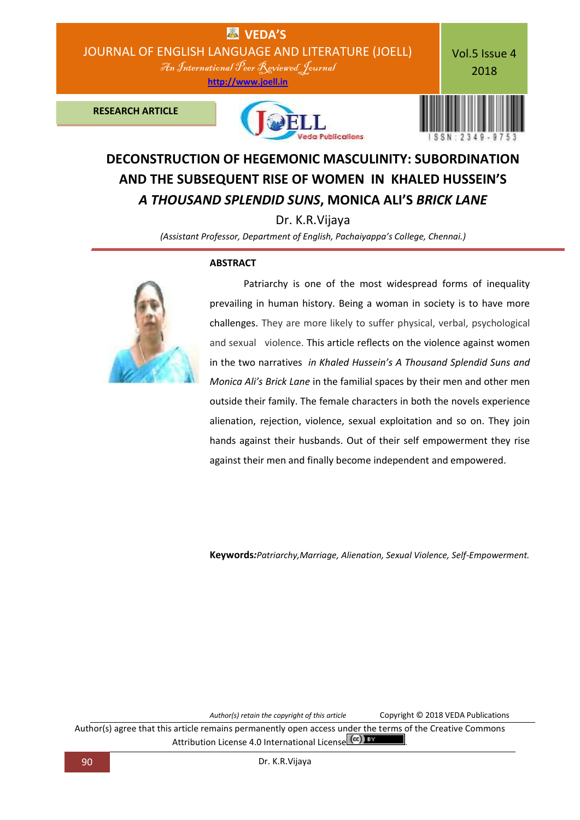

## **DECONSTRUCTION OF HEGEMONIC MASCULINITY: SUBORDINATION AND THE SUBSEQUENT RISE OF WOMEN IN KHALED HUSSEIN'S**  *A THOUSAND SPLENDID SUNS***, MONICA ALI'S** *BRICK LANE*

Dr. K.R.Vijaya

*(Assistant Professor, Department of English, Pachaiyappa's College, Chennai.)*

## **ABSTRACT**



 Patriarchy is one of the most widespread forms of inequality prevailing in human history. Being a woman in society is to have more challenges. They are more likely to suffer physical, verbal, psychological and sexual violence. This article reflects on the violence against women in the two narratives *in Khaled Hussein's A Thousand Splendid Suns and Monica Ali's Brick Lane* in the familial spaces by their men and other men outside their family. The female characters in both the novels experience alienation, rejection, violence, sexual exploitation and so on. They join hands against their husbands. Out of their self empowerment they rise against their men and finally become independent and empowered.

**Keywords***:Patriarchy,Marriage, Alienation, Sexual Violence, Self-Empowerment.*

*Author(s) retain the copyright of this article* Copyright © 2018 VEDA Publications

Author(s) agree that this article remains permanently open access under the terms of the Creative Commons Attribution License 4.0 International License (cc)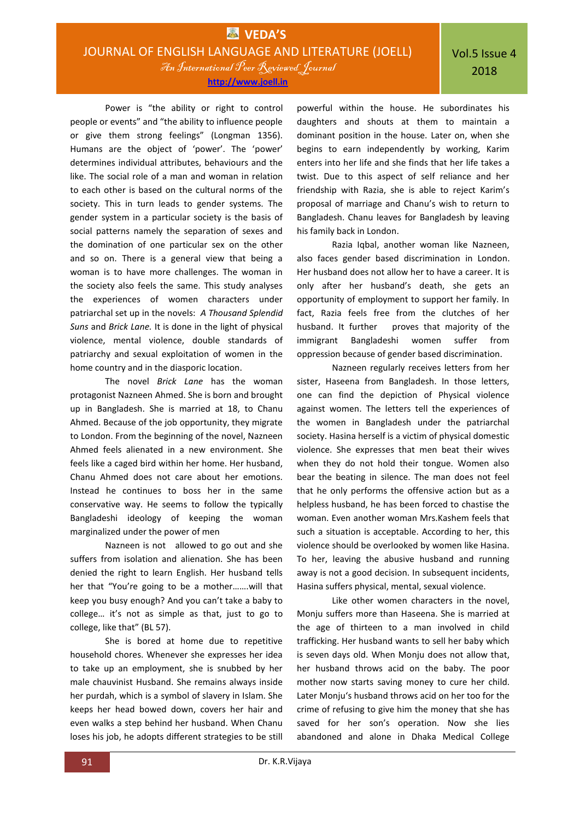**[http://www.joell.in](http://www.joell.in/)**

Power is "the ability or right to control people or events" and "the ability to influence people or give them strong feelings" (Longman 1356). Humans are the object of 'power'. The 'power' determines individual attributes, behaviours and the like. The social role of a man and woman in relation to each other is based on the cultural norms of the society. This in turn leads to gender systems. The gender system in a particular society is the basis of social patterns namely the separation of sexes and the domination of one particular sex on the other and so on. There is a general view that being a woman is to have more challenges. The woman in the society also feels the same. This study analyses the experiences of women characters under patriarchal set up in the novels: *A Thousand Splendid Suns* and *Brick Lane.* It is done in the light of physical violence, mental violence, double standards of patriarchy and sexual exploitation of women in the home country and in the diasporic location.

The novel *Brick Lane* has the woman protagonist Nazneen Ahmed. She is born and brought up in Bangladesh. She is married at 18, to Chanu Ahmed. Because of the job opportunity, they migrate to London. From the beginning of the novel, Nazneen Ahmed feels alienated in a new environment. She feels like a caged bird within her home. Her husband, Chanu Ahmed does not care about her emotions. Instead he continues to boss her in the same conservative way. He seems to follow the typically Bangladeshi ideology of keeping the woman marginalized under the power of men

Nazneen is not allowed to go out and she suffers from isolation and alienation. She has been denied the right to learn English. Her husband tells her that "You're going to be a mother…….will that keep you busy enough? And you can't take a baby to college… it's not as simple as that, just to go to college, like that" (BL 57).

She is bored at home due to repetitive household chores. Whenever she expresses her idea to take up an employment, she is snubbed by her male chauvinist Husband. She remains always inside her purdah, which is a symbol of slavery in Islam. She keeps her head bowed down, covers her hair and even walks a step behind her husband. When Chanu loses his job, he adopts different strategies to be still

powerful within the house. He subordinates his daughters and shouts at them to maintain a dominant position in the house. Later on, when she begins to earn independently by working, Karim enters into her life and she finds that her life takes a twist. Due to this aspect of self reliance and her friendship with Razia, she is able to reject Karim's proposal of marriage and Chanu's wish to return to Bangladesh. Chanu leaves for Bangladesh by leaving his family back in London.

Razia Iqbal, another woman like Nazneen, also faces gender based discrimination in London. Her husband does not allow her to have a career. It is only after her husband's death, she gets an opportunity of employment to support her family. In fact, Razia feels free from the clutches of her husband. It further proves that majority of the immigrant Bangladeshi women suffer from oppression because of gender based discrimination.

Nazneen regularly receives letters from her sister, Haseena from Bangladesh. In those letters, one can find the depiction of Physical violence against women. The letters tell the experiences of the women in Bangladesh under the patriarchal society. Hasina herself is a victim of physical domestic violence. She expresses that men beat their wives when they do not hold their tongue. Women also bear the beating in silence. The man does not feel that he only performs the offensive action but as a helpless husband, he has been forced to chastise the woman. Even another woman Mrs.Kashem feels that such a situation is acceptable. According to her, this violence should be overlooked by women like Hasina. To her, leaving the abusive husband and running away is not a good decision. In subsequent incidents, Hasina suffers physical, mental, sexual violence.

Like other women characters in the novel, Monju suffers more than Haseena. She is married at the age of thirteen to a man involved in child trafficking. Her husband wants to sell her baby which is seven days old. When Monju does not allow that, her husband throws acid on the baby. The poor mother now starts saving money to cure her child. Later Monju's husband throws acid on her too for the crime of refusing to give him the money that she has saved for her son's operation. Now she lies abandoned and alone in Dhaka Medical College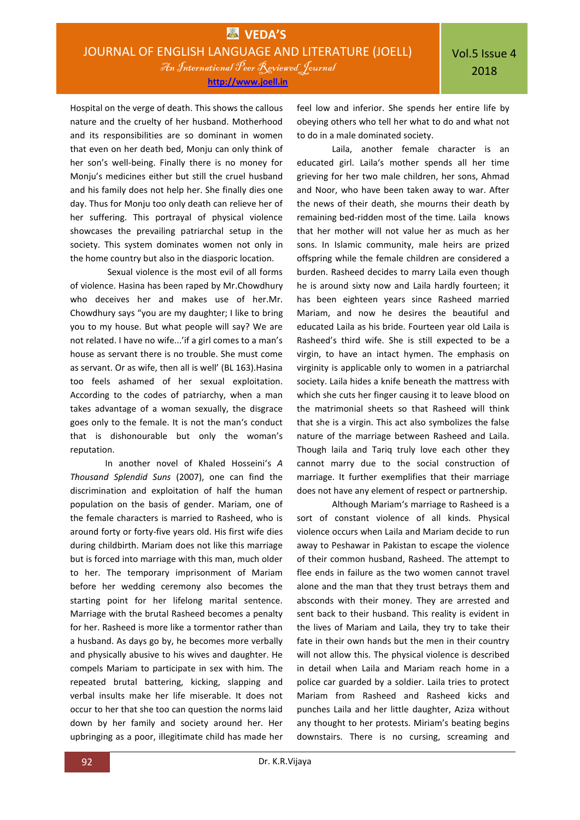**[http://www.joell.in](http://www.joell.in/)**

Hospital on the verge of death. This shows the callous nature and the cruelty of her husband. Motherhood and its responsibilities are so dominant in women that even on her death bed, Monju can only think of her son's well-being. Finally there is no money for Monju's medicines either but still the cruel husband and his family does not help her. She finally dies one day. Thus for Monju too only death can relieve her of her suffering. This portrayal of physical violence showcases the prevailing patriarchal setup in the society. This system dominates women not only in the home country but also in the diasporic location.

Sexual violence is the most evil of all forms of violence. Hasina has been raped by Mr.Chowdhury who deceives her and makes use of her.Mr. Chowdhury says "you are my daughter; I like to bring you to my house. But what people will say? We are not related. I have no wife...'if a girl comes to a man's house as servant there is no trouble. She must come as servant. Or as wife, then all is well' (BL 163).Hasina too feels ashamed of her sexual exploitation. According to the codes of patriarchy, when a man takes advantage of a woman sexually, the disgrace goes only to the female. It is not the man's conduct that is dishonourable but only the woman's reputation.

In another novel of Khaled Hosseini's *A Thousand Splendid Suns* (2007), one can find the discrimination and exploitation of half the human population on the basis of gender. Mariam, one of the female characters is married to Rasheed, who is around forty or forty-five years old. His first wife dies during childbirth. Mariam does not like this marriage but is forced into marriage with this man, much older to her. The temporary imprisonment of Mariam before her wedding ceremony also becomes the starting point for her lifelong marital sentence. Marriage with the brutal Rasheed becomes a penalty for her. Rasheed is more like a tormentor rather than a husband. As days go by, he becomes more verbally and physically abusive to his wives and daughter. He compels Mariam to participate in sex with him. The repeated brutal battering, kicking, slapping and verbal insults make her life miserable. It does not occur to her that she too can question the norms laid down by her family and society around her. Her upbringing as a poor, illegitimate child has made her

feel low and inferior. She spends her entire life by obeying others who tell her what to do and what not to do in a male dominated society.

Laila, another female character is an educated girl. Laila's mother spends all her time grieving for her two male children, her sons, Ahmad and Noor, who have been taken away to war. After the news of their death, she mourns their death by remaining bed-ridden most of the time. Laila knows that her mother will not value her as much as her sons. In Islamic community, male heirs are prized offspring while the female children are considered a burden. Rasheed decides to marry Laila even though he is around sixty now and Laila hardly fourteen; it has been eighteen years since Rasheed married Mariam, and now he desires the beautiful and educated Laila as his bride. Fourteen year old Laila is Rasheed's third wife. She is still expected to be a virgin, to have an intact hymen. The emphasis on virginity is applicable only to women in a patriarchal society. Laila hides a knife beneath the mattress with which she cuts her finger causing it to leave blood on the matrimonial sheets so that Rasheed will think that she is a virgin. This act also symbolizes the false nature of the marriage between Rasheed and Laila. Though laila and Tariq truly love each other they cannot marry due to the social construction of marriage. It further exemplifies that their marriage does not have any element of respect or partnership.

Although Mariam's marriage to Rasheed is a sort of constant violence of all kinds. Physical violence occurs when Laila and Mariam decide to run away to Peshawar in Pakistan to escape the violence of their common husband, Rasheed. The attempt to flee ends in failure as the two women cannot travel alone and the man that they trust betrays them and absconds with their money. They are arrested and sent back to their husband. This reality is evident in the lives of Mariam and Laila, they try to take their fate in their own hands but the men in their country will not allow this. The physical violence is described in detail when Laila and Mariam reach home in a police car guarded by a soldier. Laila tries to protect Mariam from Rasheed and Rasheed kicks and punches Laila and her little daughter, Aziza without any thought to her protests. Miriam's beating begins downstairs. There is no cursing, screaming and